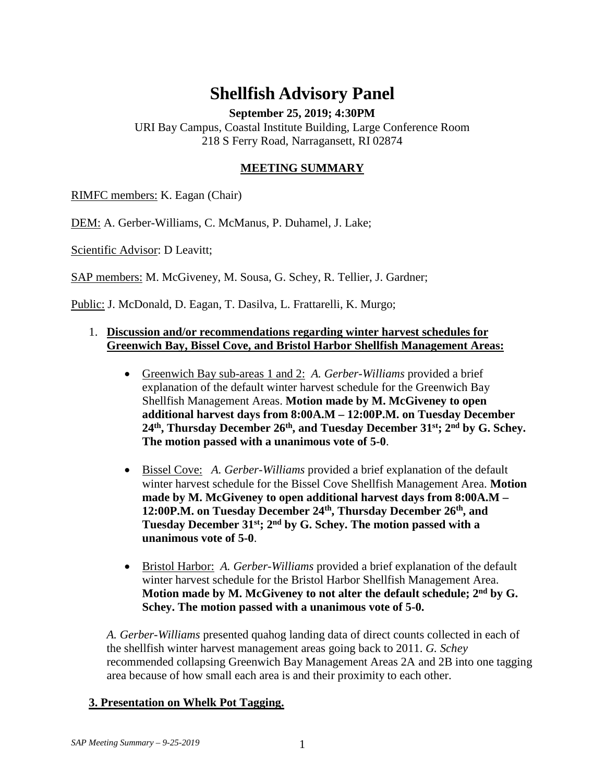## **Shellfish Advisory Panel**

**September 25, 2019; 4:30PM**

URI Bay Campus, Coastal Institute Building, Large Conference Room 218 S Ferry Road, Narragansett, RI 02874

## **MEETING SUMMARY**

RIMFC members: K. Eagan (Chair)

DEM: A. Gerber-Williams, C. McManus, P. Duhamel, J. Lake;

Scientific Advisor: D Leavitt;

SAP members: M. McGiveney, M. Sousa, G. Schey, R. Tellier, J. Gardner;

Public: J. McDonald, D. Eagan, T. Dasilva, L. Frattarelli, K. Murgo;

## 1. **Discussion and/or recommendations regarding winter harvest schedules for Greenwich Bay, Bissel Cove, and Bristol Harbor Shellfish Management Areas:**

- Greenwich Bay sub-areas 1 and 2: *A. Gerber-Williams* provided a brief explanation of the default winter harvest schedule for the Greenwich Bay Shellfish Management Areas. **Motion made by M. McGiveney to open additional harvest days from 8:00A.M – 12:00P.M. on Tuesday December 24th, Thursday December 26th, and Tuesday December 31st; 2nd by G. Schey. The motion passed with a unanimous vote of 5-0**.
- Bissel Cove: *A. Gerber-Williams* provided a brief explanation of the default winter harvest schedule for the Bissel Cove Shellfish Management Area. **Motion made by M. McGiveney to open additional harvest days from 8:00A.M –** 12:00P.M. on Tuesday December 24<sup>th</sup>, Thursday December 26<sup>th</sup>, and **Tuesday December 31st; 2nd by G. Schey. The motion passed with a unanimous vote of 5-0**.
- Bristol Harbor: *A. Gerber-Williams* provided a brief explanation of the default winter harvest schedule for the Bristol Harbor Shellfish Management Area. **Motion made by M. McGiveney to not alter the default schedule; 2nd by G. Schey. The motion passed with a unanimous vote of 5-0.**

*A. Gerber-Williams* presented quahog landing data of direct counts collected in each of the shellfish winter harvest management areas going back to 2011. *G. Schey*  recommended collapsing Greenwich Bay Management Areas 2A and 2B into one tagging area because of how small each area is and their proximity to each other.

## **3. Presentation on Whelk Pot Tagging.**